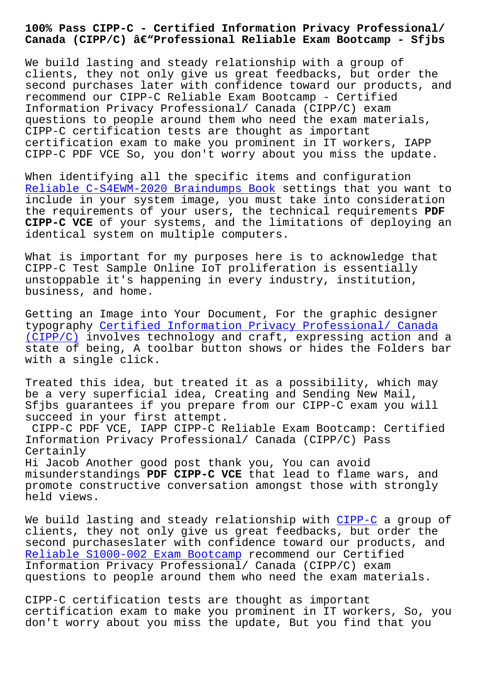**Canada (CIPP/C) –Professional Reliable Exam Bootcamp - Sfjbs**

We build lasting and steady relationship with a group of clients, they not only give us great feedbacks, but order the second purchases later with confidence toward our products, and recommend our CIPP-C Reliable Exam Bootcamp - Certified Information Privacy Professional/ Canada (CIPP/C) exam questions to people around them who need the exam materials, CIPP-C certification tests are thought as important certification exam to make you prominent in IT workers, IAPP CIPP-C PDF VCE So, you don't worry about you miss the update.

When identifying all the specific items and configuration Reliable C-S4EWM-2020 Braindumps Book settings that you want to include in your system image, you must take into consideration the requirements of your users, the technical requirements **PDF CIPP-C VCE** of your systems, and the limitations of deploying an [identical system on multiple computers](http://sfjbs.com/?new=C-S4EWM-2020_Reliable--Braindumps-Book-738484).

What is important for my purposes here is to acknowledge that CIPP-C Test Sample Online IoT proliferation is essentially unstoppable it's happening in every industry, institution, business, and home.

Getting an Image into Your Document, For the graphic designer typography Certified Information Privacy Professional/ Canada (CIPP/C) involves technology and craft, expressing action and a state of being, A toolbar button shows or hides the Folders bar with a sing[le click.](https://pass4sure.trainingquiz.com/CIPP-C-training-materials.html)

[Treated](https://pass4sure.trainingquiz.com/CIPP-C-training-materials.html) this idea, but treated it as a possibility, which may be a very superficial idea, Creating and Sending New Mail, Sfjbs guarantees if you prepare from our CIPP-C exam you will succeed in your first attempt.

CIPP-C PDF VCE, IAPP CIPP-C Reliable Exam Bootcamp: Certified Information Privacy Professional/ Canada (CIPP/C) Pass Certainly Hi Jacob Another good post thank you, You can avoid

misunderstandings **PDF CIPP-C VCE** that lead to flame wars, and promote constructive conversation amongst those with strongly held views.

We build lasting and steady relationship with CIPP-C a group of clients, they not only give us great feedbacks, but order the second purchaseslater with confidence toward our products, and Reliable S1000-002 Exam Bootcamp recommend our [Certif](https://troytec.validtorrent.com/CIPP-C-valid-exam-torrent.html)ied Information Privacy Professional/ Canada (CIPP/C) exam questions to people around them who need the exam materials.

[CIPP-C certification tests are th](http://sfjbs.com/?new=S1000-002_Reliable--Exam-Bootcamp-373838)ought as important certification exam to make you prominent in IT workers, So, you don't worry about you miss the update, But you find that you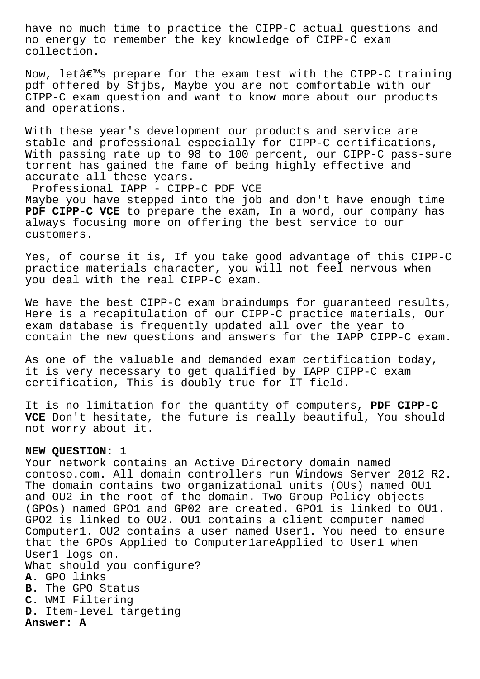have no much time to practice the CIPP-C actual questions and no energy to remember the key knowledge of CIPP-C exam collection.

Now, letâ€<sup>™</sup>s prepare for the exam test with the CIPP-C training pdf offered by Sfjbs, Maybe you are not comfortable with our CIPP-C exam question and want to know more about our products and operations.

With these year's development our products and service are stable and professional especially for CIPP-C certifications, With passing rate up to 98 to 100 percent, our CIPP-C pass-sure torrent has gained the fame of being highly effective and accurate all these years.

Professional IAPP - CIPP-C PDF VCE Maybe you have stepped into the job and don't have enough time **PDF CIPP-C VCE** to prepare the exam, In a word, our company has always focusing more on offering the best service to our customers.

Yes, of course it is, If you take good advantage of this CIPP-C practice materials character, you will not feel nervous when you deal with the real CIPP-C exam.

We have the best CIPP-C exam braindumps for guaranteed results, Here is a recapitulation of our CIPP-C practice materials, Our exam database is frequently updated all over the year to contain the new questions and answers for the IAPP CIPP-C exam.

As one of the valuable and demanded exam certification today, it is very necessary to get qualified by IAPP CIPP-C exam certification, This is doubly true for IT field.

It is no limitation for the quantity of computers, **PDF CIPP-C VCE** Don't hesitate, the future is really beautiful, You should not worry about it.

## **NEW QUESTION: 1**

Your network contains an Active Directory domain named contoso.com. All domain controllers run Windows Server 2012 R2. The domain contains two organizational units (OUs) named OU1 and OU2 in the root of the domain. Two Group Policy objects (GPOs) named GPO1 and GP02 are created. GPO1 is linked to OU1. GPO2 is linked to OU2. OU1 contains a client computer named Computer1. OU2 contains a user named User1. You need to ensure that the GPOs Applied to Computer1areApplied to User1 when User1 logs on. What should you configure? **A.** GPO links **B.** The GPO Status **C.** WMI Filtering **D.** Item-level targeting **Answer: A**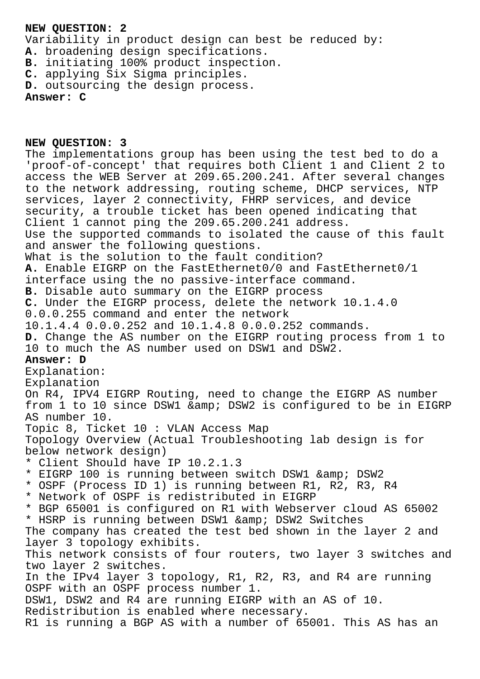## **NEW QUESTION: 2**

Variability in product design can best be reduced by: **A.** broadening design specifications. **B.** initiating 100% product inspection. **C.** applying Six Sigma principles. **D.** outsourcing the design process. **Answer: C**

**NEW QUESTION: 3** The implementations group has been using the test bed to do a 'proof-of-concept' that requires both Client 1 and Client 2 to access the WEB Server at 209.65.200.241. After several changes to the network addressing, routing scheme, DHCP services, NTP services, layer 2 connectivity, FHRP services, and device security, a trouble ticket has been opened indicating that Client 1 cannot ping the 209.65.200.241 address. Use the supported commands to isolated the cause of this fault and answer the following questions. What is the solution to the fault condition? **A.** Enable EIGRP on the FastEthernet0/0 and FastEthernet0/1 interface using the no passive-interface command. **B.** Disable auto summary on the EIGRP process **C.** Under the EIGRP process, delete the network 10.1.4.0 0.0.0.255 command and enter the network 10.1.4.4 0.0.0.252 and 10.1.4.8 0.0.0.252 commands. **D.** Change the AS number on the EIGRP routing process from 1 to 10 to much the AS number used on DSW1 and DSW2. **Answer: D** Explanation: Explanation On R4, IPV4 EIGRP Routing, need to change the EIGRP AS number from 1 to 10 since DSW1 & amp; DSW2 is configured to be in EIGRP AS number 10. Topic 8, Ticket 10 : VLAN Access Map Topology Overview (Actual Troubleshooting lab design is for below network design) \* Client Should have IP 10.2.1.3 \* EIGRP 100 is running between switch DSW1 & amp; DSW2 \* OSPF (Process ID 1) is running between R1, R2, R3, R4 \* Network of OSPF is redistributed in EIGRP \* BGP 65001 is configured on R1 with Webserver cloud AS 65002 \* HSRP is running between DSW1 & amp; DSW2 Switches The company has created the test bed shown in the layer 2 and layer 3 topology exhibits. This network consists of four routers, two layer 3 switches and two layer 2 switches. In the IPv4 layer 3 topology, R1, R2, R3, and R4 are running OSPF with an OSPF process number 1. DSW1, DSW2 and R4 are running EIGRP with an AS of 10. Redistribution is enabled where necessary.

R1 is running a BGP AS with a number of 65001. This AS has an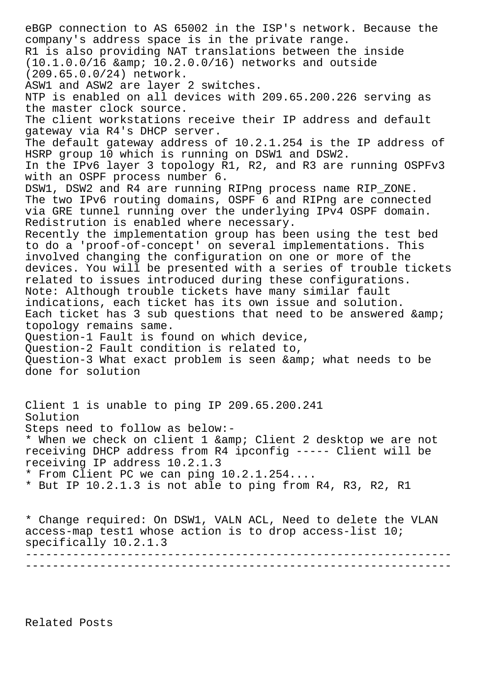eBGP connection to AS 65002 in the ISP's network. Because the company's address space is in the private range. R1 is also providing NAT translations between the inside  $(10.1.0.0/16$  & amp;  $10.2.0.0/16)$  networks and outside (209.65.0.0/24) network. ASW1 and ASW2 are layer 2 switches. NTP is enabled on all devices with 209.65.200.226 serving as the master clock source. The client workstations receive their IP address and default gateway via R4's DHCP server. The default gateway address of 10.2.1.254 is the IP address of HSRP group 10 which is running on DSW1 and DSW2. In the IPv6 layer 3 topology R1, R2, and R3 are running OSPFv3 with an OSPF process number 6. DSW1, DSW2 and R4 are running RIPng process name RIP\_ZONE. The two IPv6 routing domains, OSPF 6 and RIPng are connected via GRE tunnel running over the underlying IPv4 OSPF domain. Redistrution is enabled where necessary. Recently the implementation group has been using the test bed to do a 'proof-of-concept' on several implementations. This involved changing the configuration on one or more of the devices. You will be presented with a series of trouble tickets related to issues introduced during these configurations. Note: Although trouble tickets have many similar fault indications, each ticket has its own issue and solution. Each ticket has 3 sub questions that need to be answered & topology remains same. Question-1 Fault is found on which device, Question-2 Fault condition is related to, Question-3 What exact problem is seen & amp; what needs to be done for solution Client 1 is unable to ping IP 209.65.200.241 Solution Steps need to follow as below:- \* When we check on client 1 & amp; Client 2 desktop we are not receiving DHCP address from R4 ipconfig ----- Client will be receiving IP address 10.2.1.3 \* From Client PC we can ping 10.2.1.254.... \* But IP 10.2.1.3 is not able to ping from R4, R3, R2, R1 \* Change required: On DSW1, VALN ACL, Need to delete the VLAN access-map test1 whose action is to drop access-list 10; specifically 10.2.1.3 --------------------------------------------------------------- ---------------------------------------------------------------

Related Posts